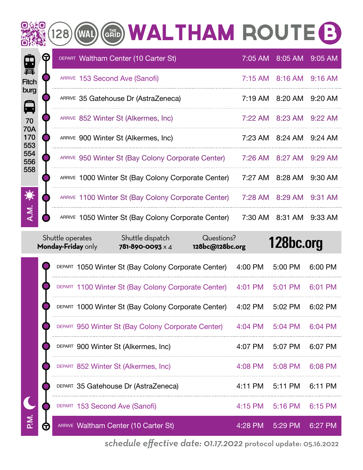|                   |   | GRID WALTHAM ROUTE B<br>128                         |         |         |           |
|-------------------|---|-----------------------------------------------------|---------|---------|-----------|
| 里                 | G | DEPART Waltham Center (10 Carter St)                | 7:05 AM | 8:05 AM | 9:05 AM   |
| <b>Fitch</b>      |   | ARRIVE 153 Second Ave (Sanofi)                      | 7:15 AM | 8:16 AM | $9:16$ AM |
| burg<br>日         |   | ARRIVE 35 Gatehouse Dr (AstraZeneca)                | 7:19 AM | 8:20 AM | 9:20 AM   |
| 70                |   | ARRIVE 852 Winter St (Alkermes, Inc)                | 7:22 AM | 8:23 AM | 9:22 AM   |
| 70A<br>170<br>553 |   | ARRIVE 900 Winter St (Alkermes, Inc)                | 7:23 AM | 8:24 AM | $9:24$ AM |
| 554<br>556        |   | ARRIVE 950 Winter St (Bay Colony Corporate Center)  | 7:26 AM | 8:27 AM | 9:29 AM   |
| 558               |   | ARRIVE 1000 Winter St (Bay Colony Corporate Center) | 7:27 AM | 8:28 AM | 9:30 AM   |
| 食                 |   | ARRIVE 1100 Winter St (Bay Colony Corporate Center) | 7:28 AM | 8:29 AM | 9:31 AM   |
| A.M.              |   | ARRIVE 1050 Winter St (Bay Colony Corporate Center) | 7:30 AM | 8:31 AM | 9:33 AM   |

|   | Shuttle operates<br>Monday-Friday only | Shuttle dispatch<br><b>781-890-0093</b> × 4         | Questions?<br>128bc@128bc.org |           | 128bc.org |         |
|---|----------------------------------------|-----------------------------------------------------|-------------------------------|-----------|-----------|---------|
|   |                                        | DEPART 1050 Winter St (Bay Colony Corporate Center) |                               | 4:00 PM   | 5:00 PM   | 6:00 PM |
|   |                                        | DEPART 1100 Winter St (Bay Colony Corporate Center) |                               | 4:01 PM   | 5:01 PM   | 6:01 PM |
|   |                                        | DEPART 1000 Winter St (Bay Colony Corporate Center) |                               | 4:02 PM   | 5:02 PM   | 6:02 PM |
|   |                                        | DEPART 950 Winter St (Bay Colony Corporate Center)  |                               | $4:04$ PM | $5:04$ PM | 6:04 PM |
|   | DEPART 900 Winter St (Alkermes, Inc)   |                                                     |                               | 4:07 PM   | 5:07 PM   | 6:07 PM |
|   | DEPART 852 Winter St (Alkermes, Inc)   |                                                     |                               | $4:08$ PM | 5:08 PM   | 6:08 PM |
|   |                                        | DEPART 35 Gatehouse Dr (AstraZeneca)                |                               | 4:11 PM   | 5:11 PM   | 6:11 PM |
|   | DEPART 153 Second Ave (Sanofi)         |                                                     |                               | 4:15 PM   | 5:16 PM   | 6:15 PM |
| 五 |                                        | ARRIVE Waltham Center (10 Carter St)                |                               | 4:28 PM   | 5:29 PM   | 6:27 PM |

*schedule effective date: 01.17.2022* protocol update: 05.16.2022